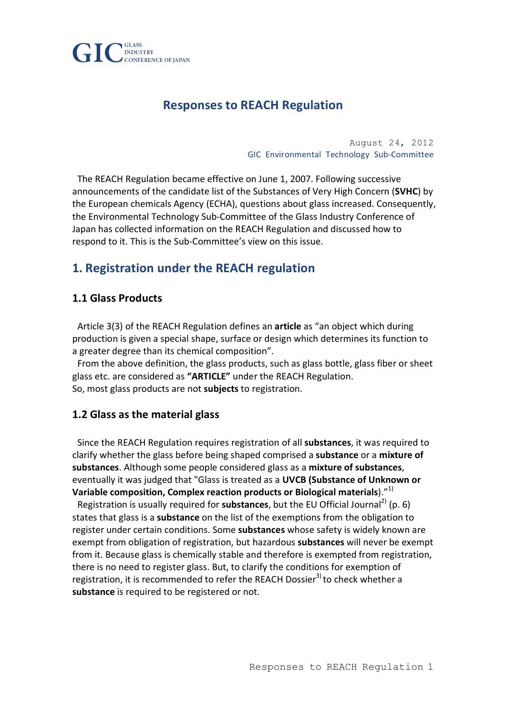

# **Responses to REACH Regulation**

August 24, 2012 GIC Environmental Technology Sub-Committee

The REACH Regulation became effective on June 1, 2007. Following successive announcements of the candidate list of the Substances of Very High Concern (**SVHC**) by the European chemicals Agency (ECHA), questions about glass increased. Consequently, the Environmental Technology Sub-Committee of the Glass Industry Conference of Japan has collected information on the REACH Regulation and discussed how to respond to it. This is the Sub-Committee's view on this issue.

## **1. Registration under the REACH regulation**

### **1.1 Glass Products**

Article 3(3) of the REACH Regulation defines an **article** as "an object which during production is given a special shape, surface or design which determines its function to a greater degree than its chemical composition".

From the above definition, the glass products, such as glass bottle, glass fiber or sheet glass etc. are considered as "ARTICLE" under the REACH Regulation. So, most glass products are not **subjects** to registration.

### **1.2 Glass as the material glass**

Since the REACH Regulation requires registration of all **substances**, it was required to clarify whether the glass before being shaped comprised a substance or a mixture of substances. Although some people considered glass as a mixture of substances, eventually it was judged that "Glass is treated as a UVCB (Substance of Unknown or Variable composition, Complex reaction products or Biological materials)."<sup>1)</sup>

Registration is usually required for **substances**, but the EU Official Journal<sup>2)</sup> (p. 6) states that glass is a **substance** on the list of the exemptions from the obligation to register under certain conditions. Some substances whose safety is widely known are exempt from obligation of registration, but hazardous substances will never be exempt from it. Because glass is chemically stable and therefore is exempted from registration, there is no need to register glass. But, to clarify the conditions for exemption of registration, it is recommended to refer the REACH Dossier<sup>3)</sup> to check whether a substance is required to be registered or not.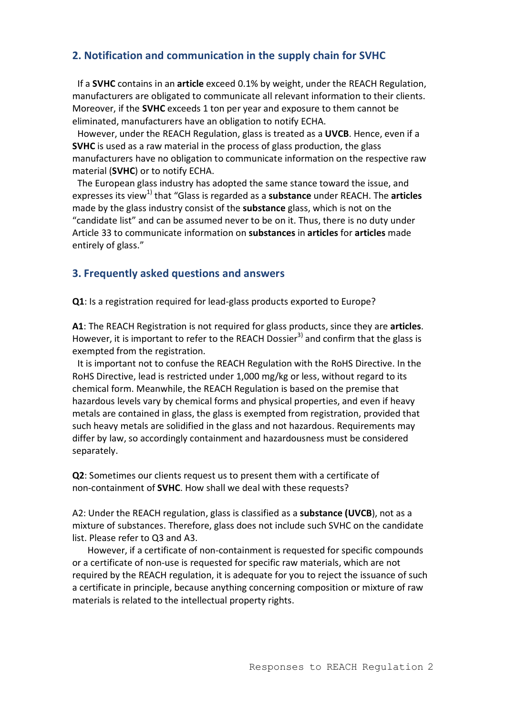## **2. Notification and communication in the supply chain for SVHC**

If a **SVHC** contains in an **article** exceed 0.1% by weight, under the REACH Regulation, manufacturers are obligated to communicate all relevant information to their clients. Moreover, if the **SVHC** exceeds 1 ton per year and exposure to them cannot be eliminated, manufacturers have an obligation to notify ECHA.

However, under the REACH Regulation, glass is treated as a UVCB. Hence, even if a **SVHC** is used as a raw material in the process of glass production, the glass manufacturers have no obligation to communicate information on the respective raw material (SVHC) or to notify ECHA.

The European glass industry has adopted the same stance toward the issue, and expresses its view<sup>1)</sup> that "Glass is regarded as a **substance** under REACH. The **articles** made by the glass industry consist of the **substance** glass, which is not on the "candidate list" and can be assumed never to be on it. Thus, there is no duty under Article 33 to communicate information on **substances** in **articles** for **articles** made entirely of glass."

### **3. Frequently asked questions and answers**

**Q1**: Is a registration required for lead-glass products exported to Europe?

A1: The REACH Registration is not required for glass products, since they are articles. However, it is important to refer to the REACH Dossier<sup>3)</sup> and confirm that the glass is exempted from the registration.

It is important not to confuse the REACH Regulation with the RoHS Directive. In the RoHS Directive, lead is restricted under 1,000 mg/kg or less, without regard to its chemical form. Meanwhile, the REACH Regulation is based on the premise that hazardous levels vary by chemical forms and physical properties, and even if heavy metals are contained in glass, the glass is exempted from registration, provided that such heavy metals are solidified in the glass and not hazardous. Requirements may differ by law, so accordingly containment and hazardousness must be considered separately.

**Q2**: Sometimes our clients request us to present them with a certificate of non-containment of **SVHC**. How shall we deal with these requests?

A2: Under the REACH regulation, glass is classified as a **substance (UVCB**), not as a mixture of substances. Therefore, glass does not include such SVHC on the candidate list. Please refer to Q3 and A3.

However, if a certificate of non-containment is requested for specific compounds or a certificate of non-use is requested for specific raw materials, which are not required by the REACH regulation, it is adequate for you to reject the issuance of such a certificate in principle, because anything concerning composition or mixture of raw materials is related to the intellectual property rights.